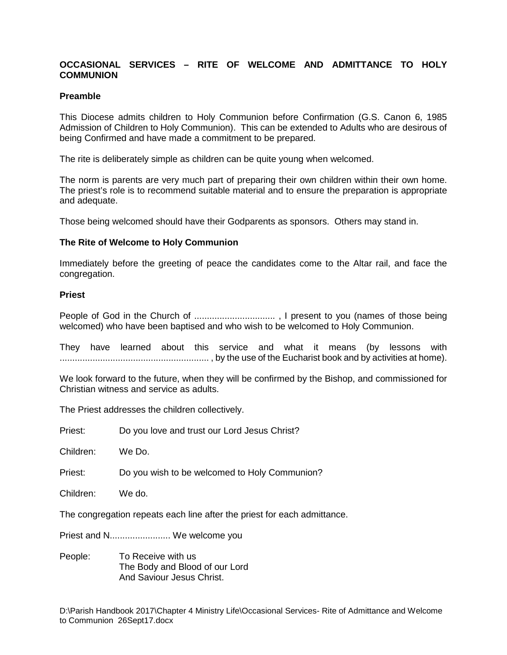## **OCCASIONAL SERVICES – RITE OF WELCOME AND ADMITTANCE TO HOLY COMMUNION**

## **Preamble**

This Diocese admits children to Holy Communion before Confirmation (G.S. Canon 6, 1985 Admission of Children to Holy Communion). This can be extended to Adults who are desirous of being Confirmed and have made a commitment to be prepared.

The rite is deliberately simple as children can be quite young when welcomed.

The norm is parents are very much part of preparing their own children within their own home. The priest's role is to recommend suitable material and to ensure the preparation is appropriate and adequate.

Those being welcomed should have their Godparents as sponsors. Others may stand in.

## **The Rite of Welcome to Holy Communion**

Immediately before the greeting of peace the candidates come to the Altar rail, and face the congregation.

## **Priest**

People of God in the Church of ................................ , I present to you (names of those being welcomed) who have been baptised and who wish to be welcomed to Holy Communion.

They have learned about this service and what it means (by lessons with ........................................................... , by the use of the Eucharist book and by activities at home).

We look forward to the future, when they will be confirmed by the Bishop, and commissioned for Christian witness and service as adults.

The Priest addresses the children collectively.

| Priest: | Do you love and trust our Lord Jesus Christ? |
|---------|----------------------------------------------|
|---------|----------------------------------------------|

Children: We Do.

Priest: Do you wish to be welcomed to Holy Communion?

Children: We do.

The congregation repeats each line after the priest for each admittance.

Priest and N........................ We welcome you

People: To Receive with us The Body and Blood of our Lord And Saviour Jesus Christ.